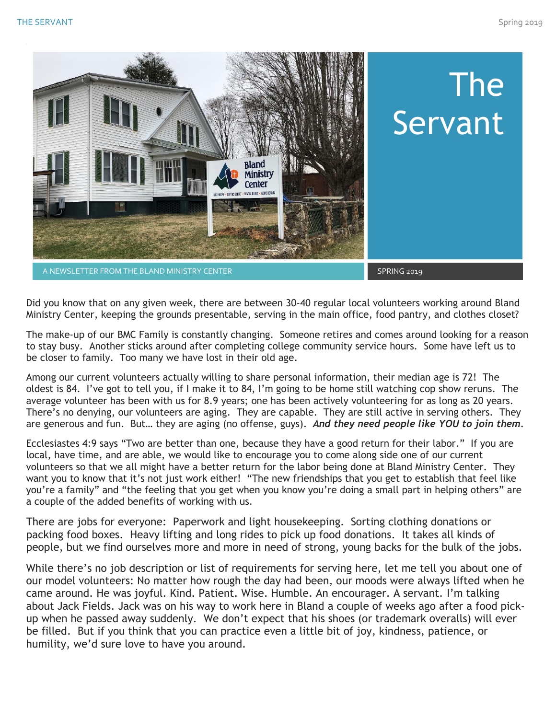

Did you know that on any given week, there are between 30-40 regular local volunteers working around Bland Ministry Center, keeping the grounds presentable, serving in the main office, food pantry, and clothes closet?

The make-up of our BMC Family is constantly changing. Someone retires and comes around looking for a reason to stay busy. Another sticks around after completing college community service hours. Some have left us to be closer to family. Too many we have lost in their old age.

Among our current volunteers actually willing to share personal information, their median age is 72! The oldest is 84. I've got to tell you, if I make it to 84, I'm going to be home still watching cop show reruns. The average volunteer has been with us for 8.9 years; one has been actively volunteering for as long as 20 years. There's no denying, our volunteers are aging. They are capable. They are still active in serving others. They are generous and fun. But… they are aging (no offense, guys). *And they need people like YOU to join them.*

Ecclesiastes 4:9 says "Two are better than one, because they have a good return for their labor." If you are local, have time, and are able, we would like to encourage you to come along side one of our current volunteers so that we all might have a better return for the labor being done at Bland Ministry Center. They want you to know that it's not just work either! "The new friendships that you get to establish that feel like you're a family" and "the feeling that you get when you know you're doing a small part in helping others" are a couple of the added benefits of working with us.

There are jobs for everyone: Paperwork and light housekeeping. Sorting clothing donations or packing food boxes. Heavy lifting and long rides to pick up food donations. It takes all kinds of people, but we find ourselves more and more in need of strong, young backs for the bulk of the jobs.

While there's no job description or list of requirements for serving here, let me tell you about one of our model volunteers: No matter how rough the day had been, our moods were always lifted when he came around. He was joyful. Kind. Patient. Wise. Humble. An encourager. A servant. I'm talking about Jack Fields. Jack was on his way to work here in Bland a couple of weeks ago after a food pickup when he passed away suddenly. We don't expect that his shoes (or trademark overalls) will ever be filled. But if you think that you can practice even a little bit of joy, kindness, patience, or humility, we'd sure love to have you around.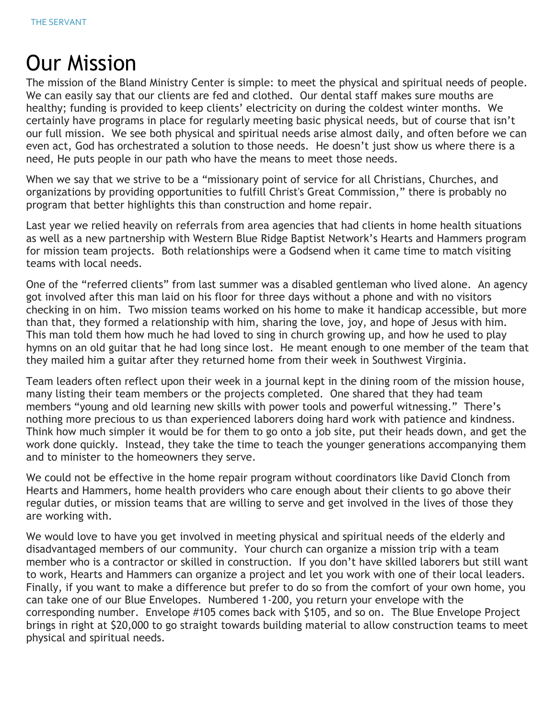### Our Mission

The mission of the Bland Ministry Center is simple: to meet the physical and spiritual needs of people. We can easily say that our clients are fed and clothed. Our dental staff makes sure mouths are healthy; funding is provided to keep clients' electricity on during the coldest winter months. We certainly have programs in place for regularly meeting basic physical needs, but of course that isn't our full mission. We see both physical and spiritual needs arise almost daily, and often before we can even act, God has orchestrated a solution to those needs. He doesn't just show us where there is a need, He puts people in our path who have the means to meet those needs.

When we say that we strive to be a "missionary point of service for all Christians, Churches, and organizations by providing opportunities to fulfill Christ's Great Commission," there is probably no program that better highlights this than construction and home repair.

Last year we relied heavily on referrals from area agencies that had clients in home health situations as well as a new partnership with Western Blue Ridge Baptist Network's Hearts and Hammers program for mission team projects. Both relationships were a Godsend when it came time to match visiting teams with local needs.

One of the "referred clients" from last summer was a disabled gentleman who lived alone. An agency got involved after this man laid on his floor for three days without a phone and with no visitors checking in on him. Two mission teams worked on his home to make it handicap accessible, but more than that, they formed a relationship with him, sharing the love, joy, and hope of Jesus with him. This man told them how much he had loved to sing in church growing up, and how he used to play hymns on an old guitar that he had long since lost. He meant enough to one member of the team that they mailed him a guitar after they returned home from their week in Southwest Virginia.

Team leaders often reflect upon their week in a journal kept in the dining room of the mission house, many listing their team members or the projects completed. One shared that they had team members "young and old learning new skills with power tools and powerful witnessing." There's nothing more precious to us than experienced laborers doing hard work with patience and kindness. Think how much simpler it would be for them to go onto a job site, put their heads down, and get the work done quickly. Instead, they take the time to teach the younger generations accompanying them and to minister to the homeowners they serve.

We could not be effective in the home repair program without coordinators like David Clonch from Hearts and Hammers, home health providers who care enough about their clients to go above their regular duties, or mission teams that are willing to serve and get involved in the lives of those they are working with.

We would love to have you get involved in meeting physical and spiritual needs of the elderly and disadvantaged members of our community. Your church can organize a mission trip with a team member who is a contractor or skilled in construction. If you don't have skilled laborers but still want to work, Hearts and Hammers can organize a project and let you work with one of their local leaders. Finally, if you want to make a difference but prefer to do so from the comfort of your own home, you can take one of our Blue Envelopes. Numbered 1-200, you return your envelope with the corresponding number. Envelope #105 comes back with \$105, and so on. The Blue Envelope Project brings in right at \$20,000 to go straight towards building material to allow construction teams to meet physical and spiritual needs.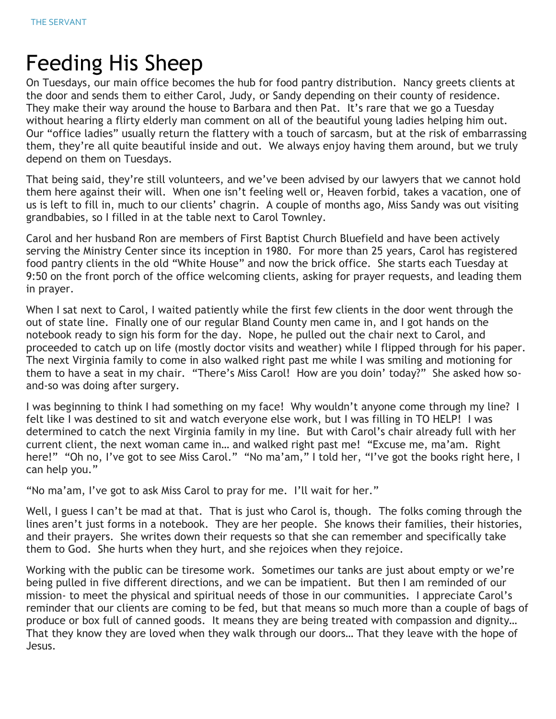## Feeding His Sheep

On Tuesdays, our main office becomes the hub for food pantry distribution. Nancy greets clients at the door and sends them to either Carol, Judy, or Sandy depending on their county of residence. They make their way around the house to Barbara and then Pat. It's rare that we go a Tuesday without hearing a flirty elderly man comment on all of the beautiful young ladies helping him out. Our "office ladies" usually return the flattery with a touch of sarcasm, but at the risk of embarrassing them, they're all quite beautiful inside and out. We always enjoy having them around, but we truly depend on them on Tuesdays.

That being said, they're still volunteers, and we've been advised by our lawyers that we cannot hold them here against their will. When one isn't feeling well or, Heaven forbid, takes a vacation, one of us is left to fill in, much to our clients' chagrin. A couple of months ago, Miss Sandy was out visiting grandbabies, so I filled in at the table next to Carol Townley.

Carol and her husband Ron are members of First Baptist Church Bluefield and have been actively serving the Ministry Center since its inception in 1980. For more than 25 years, Carol has registered food pantry clients in the old "White House" and now the brick office. She starts each Tuesday at 9:50 on the front porch of the office welcoming clients, asking for prayer requests, and leading them in prayer.

When I sat next to Carol, I waited patiently while the first few clients in the door went through the out of state line. Finally one of our regular Bland County men came in, and I got hands on the notebook ready to sign his form for the day. Nope, he pulled out the chair next to Carol, and proceeded to catch up on life (mostly doctor visits and weather) while I flipped through for his paper. The next Virginia family to come in also walked right past me while I was smiling and motioning for them to have a seat in my chair. "There's Miss Carol! How are you doin' today?" She asked how soand-so was doing after surgery.

I was beginning to think I had something on my face! Why wouldn't anyone come through my line? I felt like I was destined to sit and watch everyone else work, but I was filling in TO HELP! I was determined to catch the next Virginia family in my line. But with Carol's chair already full with her current client, the next woman came in… and walked right past me! "Excuse me, ma'am. Right here!" "Oh no, I've got to see Miss Carol." "No ma'am," I told her, "I've got the books right here, I can help you."

"No ma'am, I've got to ask Miss Carol to pray for me. I'll wait for her."

Well, I guess I can't be mad at that. That is just who Carol is, though. The folks coming through the lines aren't just forms in a notebook. They are her people. She knows their families, their histories, and their prayers. She writes down their requests so that she can remember and specifically take them to God. She hurts when they hurt, and she rejoices when they rejoice.

Working with the public can be tiresome work. Sometimes our tanks are just about empty or we're being pulled in five different directions, and we can be impatient. But then I am reminded of our mission- to meet the physical and spiritual needs of those in our communities. I appreciate Carol's reminder that our clients are coming to be fed, but that means so much more than a couple of bags of produce or box full of canned goods. It means they are being treated with compassion and dignity… That they know they are loved when they walk through our doors… That they leave with the hope of Jesus.